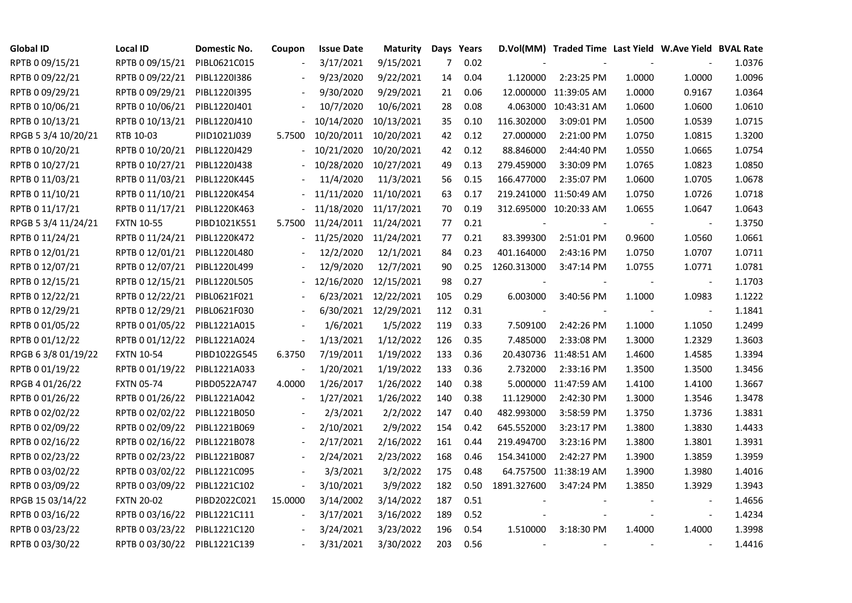| <b>Global ID</b>    | <b>Local ID</b>   | Domestic No. | Coupon                   | <b>Issue Date</b> | <b>Maturity</b>      |                | Days Years |             | D.Vol(MM) Traded Time Last Yield W.Ave Yield BVAL Rate |        |                          |        |
|---------------------|-------------------|--------------|--------------------------|-------------------|----------------------|----------------|------------|-------------|--------------------------------------------------------|--------|--------------------------|--------|
| RPTB 0 09/15/21     | RPTB 0 09/15/21   | PIBL0621C015 | $\overline{\phantom{a}}$ | 3/17/2021         | 9/15/2021            | $\overline{7}$ | 0.02       |             |                                                        |        |                          | 1.0376 |
| RPTB 0 09/22/21     | RPTB 0 09/22/21   | PIBL1220I386 |                          | 9/23/2020         | 9/22/2021            | 14             | 0.04       | 1.120000    | 2:23:25 PM                                             | 1.0000 | 1.0000                   | 1.0096 |
| RPTB 0 09/29/21     | RPTB 0 09/29/21   | PIBL1220I395 |                          | 9/30/2020         | 9/29/2021            | 21             | 0.06       |             | 12.000000 11:39:05 AM                                  | 1.0000 | 0.9167                   | 1.0364 |
| RPTB 0 10/06/21     | RPTB 0 10/06/21   | PIBL1220J401 |                          | 10/7/2020         | 10/6/2021            | 28             | 0.08       |             | 4.063000 10:43:31 AM                                   | 1.0600 | 1.0600                   | 1.0610 |
| RPTB 0 10/13/21     | RPTB 0 10/13/21   | PIBL1220J410 |                          | 10/14/2020        | 10/13/2021           | 35             | 0.10       | 116.302000  | 3:09:01 PM                                             | 1.0500 | 1.0539                   | 1.0715 |
| RPGB 5 3/4 10/20/21 | RTB 10-03         | PIID1021J039 | 5.7500                   | 10/20/2011        | 10/20/2021           | 42             | 0.12       | 27.000000   | 2:21:00 PM                                             | 1.0750 | 1.0815                   | 1.3200 |
| RPTB 0 10/20/21     | RPTB 0 10/20/21   | PIBL1220J429 |                          | 10/21/2020        | 10/20/2021           | 42             | 0.12       | 88.846000   | 2:44:40 PM                                             | 1.0550 | 1.0665                   | 1.0754 |
| RPTB 0 10/27/21     | RPTB 0 10/27/21   | PIBL1220J438 |                          | 10/28/2020        | 10/27/2021           | 49             | 0.13       | 279.459000  | 3:30:09 PM                                             | 1.0765 | 1.0823                   | 1.0850 |
| RPTB 0 11/03/21     | RPTB 0 11/03/21   | PIBL1220K445 |                          | 11/4/2020         | 11/3/2021            | 56             | 0.15       | 166.477000  | 2:35:07 PM                                             | 1.0600 | 1.0705                   | 1.0678 |
| RPTB 0 11/10/21     | RPTB 0 11/10/21   | PIBL1220K454 |                          | 11/11/2020        | 11/10/2021           | 63             | 0.17       |             | 219.241000 11:50:49 AM                                 | 1.0750 | 1.0726                   | 1.0718 |
| RPTB 0 11/17/21     | RPTB 0 11/17/21   | PIBL1220K463 |                          | 11/18/2020        | 11/17/2021           | 70             | 0.19       |             | 312.695000 10:20:33 AM                                 | 1.0655 | 1.0647                   | 1.0643 |
| RPGB 5 3/4 11/24/21 | <b>FXTN 10-55</b> | PIBD1021K551 | 5.7500                   | 11/24/2011        | 11/24/2021           | 77             | 0.21       |             |                                                        |        | $\overline{\phantom{a}}$ | 1.3750 |
| RPTB 0 11/24/21     | RPTB 0 11/24/21   | PIBL1220K472 |                          | 11/25/2020        | 11/24/2021           | 77             | 0.21       | 83.399300   | 2:51:01 PM                                             | 0.9600 | 1.0560                   | 1.0661 |
| RPTB 0 12/01/21     | RPTB 0 12/01/21   | PIBL1220L480 |                          | 12/2/2020         | 12/1/2021            | 84             | 0.23       | 401.164000  | 2:43:16 PM                                             | 1.0750 | 1.0707                   | 1.0711 |
| RPTB 0 12/07/21     | RPTB 0 12/07/21   | PIBL1220L499 |                          | 12/9/2020         | 12/7/2021            | 90             | 0.25       | 1260.313000 | 3:47:14 PM                                             | 1.0755 | 1.0771                   | 1.0781 |
| RPTB 0 12/15/21     | RPTB 0 12/15/21   | PIBL1220L505 |                          | 12/16/2020        | 12/15/2021           | 98             | 0.27       |             |                                                        |        |                          | 1.1703 |
| RPTB 0 12/22/21     | RPTB 0 12/22/21   | PIBL0621F021 |                          | 6/23/2021         | 12/22/2021           | 105            | 0.29       | 6.003000    | 3:40:56 PM                                             | 1.1000 | 1.0983                   | 1.1222 |
| RPTB 0 12/29/21     | RPTB 0 12/29/21   | PIBL0621F030 | $\blacksquare$           |                   | 6/30/2021 12/29/2021 | 112            | 0.31       |             |                                                        |        |                          | 1.1841 |
| RPTB 0 01/05/22     | RPTB 0 01/05/22   | PIBL1221A015 |                          | 1/6/2021          | 1/5/2022             | 119            | 0.33       | 7.509100    | 2:42:26 PM                                             | 1.1000 | 1.1050                   | 1.2499 |
| RPTB 0 01/12/22     | RPTB 0 01/12/22   | PIBL1221A024 | $\blacksquare$           | 1/13/2021         | 1/12/2022            | 126            | 0.35       | 7.485000    | 2:33:08 PM                                             | 1.3000 | 1.2329                   | 1.3603 |
| RPGB 63/8 01/19/22  | <b>FXTN 10-54</b> | PIBD1022G545 | 6.3750                   | 7/19/2011         | 1/19/2022            | 133            | 0.36       |             | 20.430736 11:48:51 AM                                  | 1.4600 | 1.4585                   | 1.3394 |
| RPTB 0 01/19/22     | RPTB 0 01/19/22   | PIBL1221A033 |                          | 1/20/2021         | 1/19/2022            | 133            | 0.36       | 2.732000    | 2:33:16 PM                                             | 1.3500 | 1.3500                   | 1.3456 |
| RPGB 4 01/26/22     | <b>FXTN 05-74</b> | PIBD0522A747 | 4.0000                   | 1/26/2017         | 1/26/2022            | 140            | 0.38       |             | 5.000000 11:47:59 AM                                   | 1.4100 | 1.4100                   | 1.3667 |
| RPTB 0 01/26/22     | RPTB 0 01/26/22   | PIBL1221A042 |                          | 1/27/2021         | 1/26/2022            | 140            | 0.38       | 11.129000   | 2:42:30 PM                                             | 1.3000 | 1.3546                   | 1.3478 |
| RPTB 0 02/02/22     | RPTB 0 02/02/22   | PIBL1221B050 |                          | 2/3/2021          | 2/2/2022             | 147            | 0.40       | 482.993000  | 3:58:59 PM                                             | 1.3750 | 1.3736                   | 1.3831 |
| RPTB 0 02/09/22     | RPTB 0 02/09/22   | PIBL1221B069 |                          | 2/10/2021         | 2/9/2022             | 154            | 0.42       | 645.552000  | 3:23:17 PM                                             | 1.3800 | 1.3830                   | 1.4433 |
| RPTB 0 02/16/22     | RPTB 0 02/16/22   | PIBL1221B078 |                          | 2/17/2021         | 2/16/2022            | 161            | 0.44       | 219.494700  | 3:23:16 PM                                             | 1.3800 | 1.3801                   | 1.3931 |
| RPTB 0 02/23/22     | RPTB 0 02/23/22   | PIBL1221B087 | $\blacksquare$           | 2/24/2021         | 2/23/2022            | 168            | 0.46       | 154.341000  | 2:42:27 PM                                             | 1.3900 | 1.3859                   | 1.3959 |
| RPTB 0 03/02/22     | RPTB 0 03/02/22   | PIBL1221C095 |                          | 3/3/2021          | 3/2/2022             | 175            | 0.48       |             | 64.757500 11:38:19 AM                                  | 1.3900 | 1.3980                   | 1.4016 |
| RPTB 0 03/09/22     | RPTB 0 03/09/22   | PIBL1221C102 |                          | 3/10/2021         | 3/9/2022             | 182            | 0.50       | 1891.327600 | 3:47:24 PM                                             | 1.3850 | 1.3929                   | 1.3943 |
| RPGB 15 03/14/22    | <b>FXTN 20-02</b> | PIBD2022C021 | 15.0000                  | 3/14/2002         | 3/14/2022            | 187            | 0.51       |             |                                                        |        |                          | 1.4656 |
| RPTB 0 03/16/22     | RPTB 0 03/16/22   | PIBL1221C111 | $\overline{\phantom{a}}$ | 3/17/2021         | 3/16/2022            | 189            | 0.52       |             |                                                        |        | $\overline{\phantom{a}}$ | 1.4234 |
| RPTB 0 03/23/22     | RPTB 0 03/23/22   | PIBL1221C120 |                          | 3/24/2021         | 3/23/2022            | 196            | 0.54       | 1.510000    | 3:18:30 PM                                             | 1.4000 | 1.4000                   | 1.3998 |
| RPTB 0 03/30/22     | RPTB 0 03/30/22   | PIBL1221C139 |                          | 3/31/2021         | 3/30/2022            | 203            | 0.56       |             |                                                        |        |                          | 1.4416 |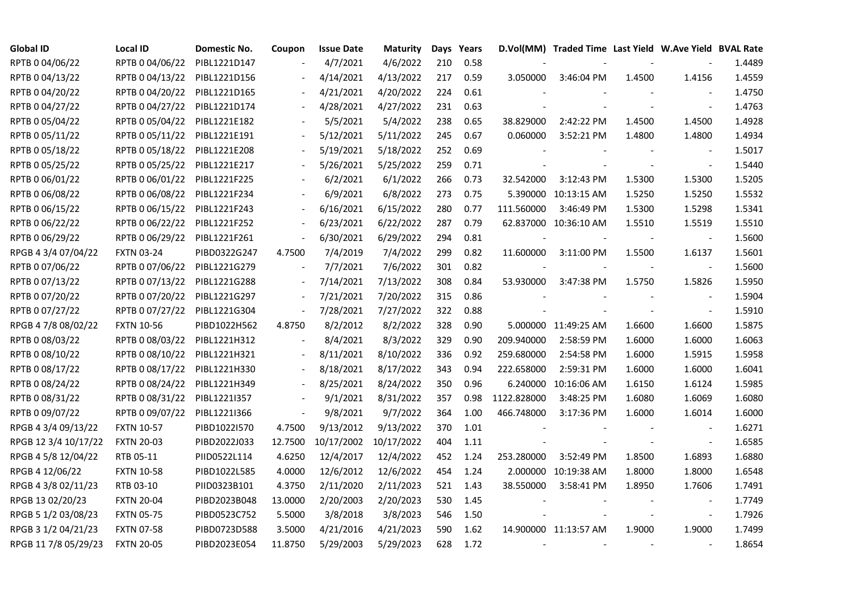| <b>Global ID</b>     | <b>Local ID</b>   | Domestic No. | Coupon                   | <b>Issue Date</b>     | Maturity  |     | Days Years |             | D.Vol(MM) Traded Time Last Yield W.Ave Yield BVAL Rate |        |                          |        |
|----------------------|-------------------|--------------|--------------------------|-----------------------|-----------|-----|------------|-------------|--------------------------------------------------------|--------|--------------------------|--------|
| RPTB 0 04/06/22      | RPTB 0 04/06/22   | PIBL1221D147 |                          | 4/7/2021              | 4/6/2022  | 210 | 0.58       |             |                                                        |        |                          | 1.4489 |
| RPTB 0 04/13/22      | RPTB 0 04/13/22   | PIBL1221D156 |                          | 4/14/2021             | 4/13/2022 | 217 | 0.59       | 3.050000    | 3:46:04 PM                                             | 1.4500 | 1.4156                   | 1.4559 |
| RPTB 0 04/20/22      | RPTB 0 04/20/22   | PIBL1221D165 |                          | 4/21/2021             | 4/20/2022 | 224 | 0.61       |             |                                                        |        |                          | 1.4750 |
| RPTB 0 04/27/22      | RPTB 0 04/27/22   | PIBL1221D174 | $\blacksquare$           | 4/28/2021             | 4/27/2022 | 231 | 0.63       |             |                                                        |        | $\blacksquare$           | 1.4763 |
| RPTB 0 05/04/22      | RPTB 0 05/04/22   | PIBL1221E182 |                          | 5/5/2021              | 5/4/2022  | 238 | 0.65       | 38.829000   | 2:42:22 PM                                             | 1.4500 | 1.4500                   | 1.4928 |
| RPTB 0 05/11/22      | RPTB 0 05/11/22   | PIBL1221E191 |                          | 5/12/2021             | 5/11/2022 | 245 | 0.67       | 0.060000    | 3:52:21 PM                                             | 1.4800 | 1.4800                   | 1.4934 |
| RPTB 0 05/18/22      | RPTB 0 05/18/22   | PIBL1221E208 |                          | 5/19/2021             | 5/18/2022 | 252 | 0.69       |             |                                                        |        | $\overline{\phantom{a}}$ | 1.5017 |
| RPTB 0 05/25/22      | RPTB 0 05/25/22   | PIBL1221E217 |                          | 5/26/2021             | 5/25/2022 | 259 | 0.71       |             |                                                        |        | $\blacksquare$           | 1.5440 |
| RPTB 0 06/01/22      | RPTB 0 06/01/22   | PIBL1221F225 |                          | 6/2/2021              | 6/1/2022  | 266 | 0.73       | 32.542000   | 3:12:43 PM                                             | 1.5300 | 1.5300                   | 1.5205 |
| RPTB 0 06/08/22      | RPTB 0 06/08/22   | PIBL1221F234 |                          | 6/9/2021              | 6/8/2022  | 273 | 0.75       |             | 5.390000 10:13:15 AM                                   | 1.5250 | 1.5250                   | 1.5532 |
| RPTB 0 06/15/22      | RPTB 0 06/15/22   | PIBL1221F243 | $\overline{\phantom{a}}$ | 6/16/2021             | 6/15/2022 | 280 | 0.77       | 111.560000  | 3:46:49 PM                                             | 1.5300 | 1.5298                   | 1.5341 |
| RPTB 0 06/22/22      | RPTB 0 06/22/22   | PIBL1221F252 | $\overline{\phantom{a}}$ | 6/23/2021             | 6/22/2022 | 287 | 0.79       |             | 62.837000 10:36:10 AM                                  | 1.5510 | 1.5519                   | 1.5510 |
| RPTB 0 06/29/22      | RPTB 0 06/29/22   | PIBL1221F261 | $\Box$                   | 6/30/2021             | 6/29/2022 | 294 | 0.81       |             |                                                        |        | $\blacksquare$           | 1.5600 |
| RPGB 4 3/4 07/04/22  | <b>FXTN 03-24</b> | PIBD0322G247 | 4.7500                   | 7/4/2019              | 7/4/2022  | 299 | 0.82       | 11.600000   | 3:11:00 PM                                             | 1.5500 | 1.6137                   | 1.5601 |
| RPTB 0 07/06/22      | RPTB 0 07/06/22   | PIBL1221G279 | $\overline{\phantom{a}}$ | 7/7/2021              | 7/6/2022  | 301 | 0.82       |             |                                                        |        | $\blacksquare$           | 1.5600 |
| RPTB 0 07/13/22      | RPTB 0 07/13/22   | PIBL1221G288 |                          | 7/14/2021             | 7/13/2022 | 308 | 0.84       | 53.930000   | 3:47:38 PM                                             | 1.5750 | 1.5826                   | 1.5950 |
| RPTB 0 07/20/22      | RPTB 0 07/20/22   | PIBL1221G297 | $\overline{\phantom{a}}$ | 7/21/2021             | 7/20/2022 | 315 | 0.86       |             |                                                        |        |                          | 1.5904 |
| RPTB 0 07/27/22      | RPTB 0 07/27/22   | PIBL1221G304 | $\overline{\phantom{a}}$ | 7/28/2021             | 7/27/2022 | 322 | 0.88       |             |                                                        |        | $\blacksquare$           | 1.5910 |
| RPGB 4 7/8 08/02/22  | <b>FXTN 10-56</b> | PIBD1022H562 | 4.8750                   | 8/2/2012              | 8/2/2022  | 328 | 0.90       |             | 5.000000 11:49:25 AM                                   | 1.6600 | 1.6600                   | 1.5875 |
| RPTB 0 08/03/22      | RPTB 0 08/03/22   | PIBL1221H312 |                          | 8/4/2021              | 8/3/2022  | 329 | 0.90       | 209.940000  | 2:58:59 PM                                             | 1.6000 | 1.6000                   | 1.6063 |
| RPTB 0 08/10/22      | RPTB 0 08/10/22   | PIBL1221H321 | $\overline{\phantom{a}}$ | 8/11/2021             | 8/10/2022 | 336 | 0.92       | 259.680000  | 2:54:58 PM                                             | 1.6000 | 1.5915                   | 1.5958 |
| RPTB 0 08/17/22      | RPTB 0 08/17/22   | PIBL1221H330 |                          | 8/18/2021             | 8/17/2022 | 343 | 0.94       | 222.658000  | 2:59:31 PM                                             | 1.6000 | 1.6000                   | 1.6041 |
| RPTB 0 08/24/22      | RPTB 0 08/24/22   | PIBL1221H349 |                          | 8/25/2021             | 8/24/2022 | 350 | 0.96       |             | 6.240000 10:16:06 AM                                   | 1.6150 | 1.6124                   | 1.5985 |
| RPTB 0 08/31/22      | RPTB 0 08/31/22   | PIBL1221I357 | $\overline{\phantom{a}}$ | 9/1/2021              | 8/31/2022 | 357 | 0.98       | 1122.828000 | 3:48:25 PM                                             | 1.6080 | 1.6069                   | 1.6080 |
| RPTB 0 09/07/22      | RPTB 0 09/07/22   | PIBL1221I366 | $\overline{\phantom{a}}$ | 9/8/2021              | 9/7/2022  | 364 | 1.00       | 466.748000  | 3:17:36 PM                                             | 1.6000 | 1.6014                   | 1.6000 |
| RPGB 4 3/4 09/13/22  | <b>FXTN 10-57</b> | PIBD1022I570 | 4.7500                   | 9/13/2012             | 9/13/2022 | 370 | 1.01       |             |                                                        |        | $\blacksquare$           | 1.6271 |
| RPGB 12 3/4 10/17/22 | <b>FXTN 20-03</b> | PIBD2022J033 | 12.7500                  | 10/17/2002 10/17/2022 |           | 404 | 1.11       |             |                                                        |        | $\blacksquare$           | 1.6585 |
| RPGB 4 5/8 12/04/22  | RTB 05-11         | PIID0522L114 | 4.6250                   | 12/4/2017             | 12/4/2022 | 452 | 1.24       | 253.280000  | 3:52:49 PM                                             | 1.8500 | 1.6893                   | 1.6880 |
| RPGB 4 12/06/22      | <b>FXTN 10-58</b> | PIBD1022L585 | 4.0000                   | 12/6/2012             | 12/6/2022 | 454 | 1.24       |             | 2.000000 10:19:38 AM                                   | 1.8000 | 1.8000                   | 1.6548 |
| RPGB 4 3/8 02/11/23  | RTB 03-10         | PIID0323B101 | 4.3750                   | 2/11/2020             | 2/11/2023 | 521 | 1.43       | 38.550000   | 3:58:41 PM                                             | 1.8950 | 1.7606                   | 1.7491 |
| RPGB 13 02/20/23     | <b>FXTN 20-04</b> | PIBD2023B048 | 13.0000                  | 2/20/2003             | 2/20/2023 | 530 | 1.45       |             |                                                        |        |                          | 1.7749 |
| RPGB 5 1/2 03/08/23  | <b>FXTN 05-75</b> | PIBD0523C752 | 5.5000                   | 3/8/2018              | 3/8/2023  | 546 | 1.50       |             |                                                        |        | $\blacksquare$           | 1.7926 |
| RPGB 3 1/2 04/21/23  | <b>FXTN 07-58</b> | PIBD0723D588 | 3.5000                   | 4/21/2016             | 4/21/2023 | 590 | 1.62       |             | 14.900000 11:13:57 AM                                  | 1.9000 | 1.9000                   | 1.7499 |
| RPGB 11 7/8 05/29/23 | <b>FXTN 20-05</b> | PIBD2023E054 | 11.8750                  | 5/29/2003             | 5/29/2023 | 628 | 1.72       |             |                                                        |        |                          | 1.8654 |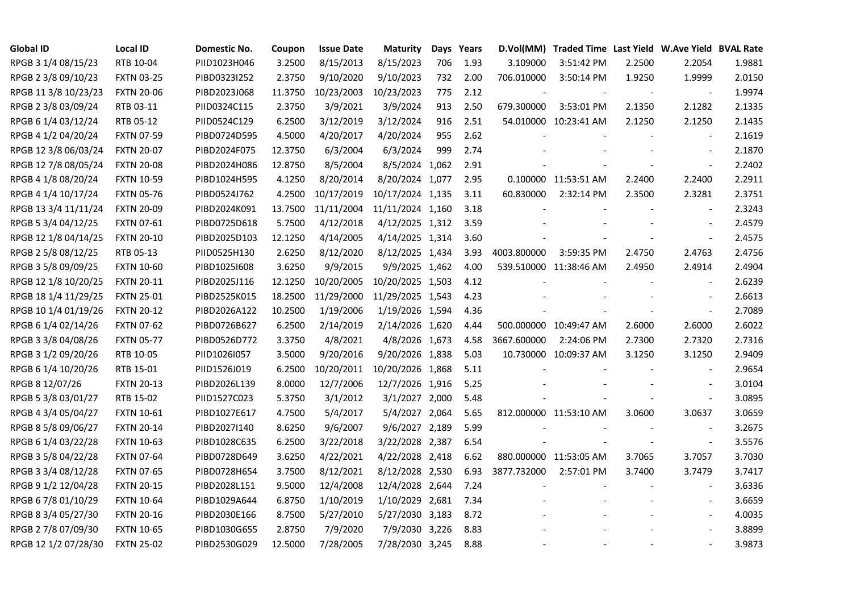| <b>Global ID</b>     | <b>Local ID</b>   | Domestic No. | Coupon  | <b>Issue Date</b> | <b>Maturity</b>  |     | Days Years | D.Vol(MM)   | Traded Time Last Yield W.Ave Yield BVAL Rate |        |                          |        |
|----------------------|-------------------|--------------|---------|-------------------|------------------|-----|------------|-------------|----------------------------------------------|--------|--------------------------|--------|
| RPGB 3 1/4 08/15/23  | RTB 10-04         | PIID1023H046 | 3.2500  | 8/15/2013         | 8/15/2023        | 706 | 1.93       | 3.109000    | 3:51:42 PM                                   | 2.2500 | 2.2054                   | 1.9881 |
| RPGB 2 3/8 09/10/23  | <b>FXTN 03-25</b> | PIBD0323I252 | 2.3750  | 9/10/2020         | 9/10/2023        | 732 | 2.00       | 706.010000  | 3:50:14 PM                                   | 1.9250 | 1.9999                   | 2.0150 |
| RPGB 11 3/8 10/23/23 | <b>FXTN 20-06</b> | PIBD2023J068 | 11.3750 | 10/23/2003        | 10/23/2023       | 775 | 2.12       |             |                                              |        | $\overline{\phantom{a}}$ | 1.9974 |
| RPGB 2 3/8 03/09/24  | RTB 03-11         | PIID0324C115 | 2.3750  | 3/9/2021          | 3/9/2024         | 913 | 2.50       | 679.300000  | 3:53:01 PM                                   | 2.1350 | 2.1282                   | 2.1335 |
| RPGB 6 1/4 03/12/24  | RTB 05-12         | PIID0524C129 | 6.2500  | 3/12/2019         | 3/12/2024        | 916 | 2.51       |             | 54.010000 10:23:41 AM                        | 2.1250 | 2.1250                   | 2.1435 |
| RPGB 4 1/2 04/20/24  | <b>FXTN 07-59</b> | PIBD0724D595 | 4.5000  | 4/20/2017         | 4/20/2024        | 955 | 2.62       |             |                                              |        | $\blacksquare$           | 2.1619 |
| RPGB 12 3/8 06/03/24 | <b>FXTN 20-07</b> | PIBD2024F075 | 12.3750 | 6/3/2004          | 6/3/2024         | 999 | 2.74       |             |                                              |        | $\blacksquare$           | 2.1870 |
| RPGB 12 7/8 08/05/24 | <b>FXTN 20-08</b> | PIBD2024H086 | 12.8750 | 8/5/2004          | 8/5/2024 1,062   |     | 2.91       |             |                                              |        | $\blacksquare$           | 2.2402 |
| RPGB 4 1/8 08/20/24  | <b>FXTN 10-59</b> | PIBD1024H595 | 4.1250  | 8/20/2014         | 8/20/2024 1,077  |     | 2.95       |             | 0.100000 11:53:51 AM                         | 2.2400 | 2.2400                   | 2.2911 |
| RPGB 4 1/4 10/17/24  | <b>FXTN 05-76</b> | PIBD0524J762 | 4.2500  | 10/17/2019        | 10/17/2024 1,135 |     | 3.11       | 60.830000   | 2:32:14 PM                                   | 2.3500 | 2.3281                   | 2.3751 |
| RPGB 13 3/4 11/11/24 | <b>FXTN 20-09</b> | PIBD2024K091 | 13.7500 | 11/11/2004        | 11/11/2024 1,160 |     | 3.18       |             |                                              |        | $\overline{\phantom{a}}$ | 2.3243 |
| RPGB 5 3/4 04/12/25  | <b>FXTN 07-61</b> | PIBD0725D618 | 5.7500  | 4/12/2018         | 4/12/2025 1,312  |     | 3.59       |             |                                              |        | $\blacksquare$           | 2.4579 |
| RPGB 12 1/8 04/14/25 | <b>FXTN 20-10</b> | PIBD2025D103 | 12.1250 | 4/14/2005         | 4/14/2025 1,314  |     | 3.60       |             |                                              |        | $\omega$                 | 2.4575 |
| RPGB 2 5/8 08/12/25  | RTB 05-13         | PIID0525H130 | 2.6250  | 8/12/2020         | 8/12/2025 1,434  |     | 3.93       | 4003.800000 | 3:59:35 PM                                   | 2.4750 | 2.4763                   | 2.4756 |
| RPGB 3 5/8 09/09/25  | <b>FXTN 10-60</b> | PIBD10251608 | 3.6250  | 9/9/2015          | 9/9/2025 1,462   |     | 4.00       |             | 539.510000 11:38:46 AM                       | 2.4950 | 2.4914                   | 2.4904 |
| RPGB 12 1/8 10/20/25 | <b>FXTN 20-11</b> | PIBD2025J116 | 12.1250 | 10/20/2005        | 10/20/2025 1,503 |     | 4.12       |             |                                              |        |                          | 2.6239 |
| RPGB 18 1/4 11/29/25 | <b>FXTN 25-01</b> | PIBD2525K015 | 18.2500 | 11/29/2000        | 11/29/2025 1,543 |     | 4.23       |             |                                              |        | $\overline{\phantom{a}}$ | 2.6613 |
| RPGB 10 1/4 01/19/26 | <b>FXTN 20-12</b> | PIBD2026A122 | 10.2500 | 1/19/2006         | 1/19/2026 1,594  |     | 4.36       |             |                                              |        | $\bar{\phantom{a}}$      | 2.7089 |
| RPGB 6 1/4 02/14/26  | <b>FXTN 07-62</b> | PIBD0726B627 | 6.2500  | 2/14/2019         | 2/14/2026 1,620  |     | 4.44       |             | 500.000000 10:49:47 AM                       | 2.6000 | 2.6000                   | 2.6022 |
| RPGB 3 3/8 04/08/26  | <b>FXTN 05-77</b> | PIBD0526D772 | 3.3750  | 4/8/2021          | 4/8/2026 1,673   |     | 4.58       | 3667.600000 | 2:24:06 PM                                   | 2.7300 | 2.7320                   | 2.7316 |
| RPGB 3 1/2 09/20/26  | RTB 10-05         | PIID1026I057 | 3.5000  | 9/20/2016         | 9/20/2026 1,838  |     | 5.03       |             | 10.730000 10:09:37 AM                        | 3.1250 | 3.1250                   | 2.9409 |
| RPGB 6 1/4 10/20/26  | RTB 15-01         | PIID1526J019 | 6.2500  | 10/20/2011        | 10/20/2026 1,868 |     | 5.11       |             |                                              |        | $\sim$                   | 2.9654 |
| RPGB 8 12/07/26      | <b>FXTN 20-13</b> | PIBD2026L139 | 8.0000  | 12/7/2006         | 12/7/2026 1,916  |     | 5.25       |             |                                              |        | $\overline{a}$           | 3.0104 |
| RPGB 5 3/8 03/01/27  | RTB 15-02         | PIID1527C023 | 5.3750  | 3/1/2012          | 3/1/2027 2,000   |     | 5.48       |             |                                              |        | $\blacksquare$           | 3.0895 |
| RPGB 4 3/4 05/04/27  | <b>FXTN 10-61</b> | PIBD1027E617 | 4.7500  | 5/4/2017          | 5/4/2027 2,064   |     | 5.65       |             | 812.000000 11:53:10 AM                       | 3.0600 | 3.0637                   | 3.0659 |
| RPGB 8 5/8 09/06/27  | <b>FXTN 20-14</b> | PIBD2027I140 | 8.6250  | 9/6/2007          | 9/6/2027 2,189   |     | 5.99       |             |                                              |        | $\blacksquare$           | 3.2675 |
| RPGB 6 1/4 03/22/28  | <b>FXTN 10-63</b> | PIBD1028C635 | 6.2500  | 3/22/2018         | 3/22/2028 2,387  |     | 6.54       |             |                                              |        | $\blacksquare$           | 3.5576 |
| RPGB 3 5/8 04/22/28  | <b>FXTN 07-64</b> | PIBD0728D649 | 3.6250  | 4/22/2021         | 4/22/2028 2,418  |     | 6.62       |             | 880.000000 11:53:05 AM                       | 3.7065 | 3.7057                   | 3.7030 |
| RPGB 3 3/4 08/12/28  | <b>FXTN 07-65</b> | PIBD0728H654 | 3.7500  | 8/12/2021         | 8/12/2028 2,530  |     | 6.93       | 3877.732000 | 2:57:01 PM                                   | 3.7400 | 3.7479                   | 3.7417 |
| RPGB 9 1/2 12/04/28  | <b>FXTN 20-15</b> | PIBD2028L151 | 9.5000  | 12/4/2008         | 12/4/2028 2,644  |     | 7.24       |             |                                              |        |                          | 3.6336 |
| RPGB 67/8 01/10/29   | <b>FXTN 10-64</b> | PIBD1029A644 | 6.8750  | 1/10/2019         | 1/10/2029 2,681  |     | 7.34       |             |                                              |        | $\sim$                   | 3.6659 |
| RPGB 8 3/4 05/27/30  | <b>FXTN 20-16</b> | PIBD2030E166 | 8.7500  | 5/27/2010         | 5/27/2030 3,183  |     | 8.72       |             |                                              |        | $\overline{\phantom{a}}$ | 4.0035 |
| RPGB 2 7/8 07/09/30  | <b>FXTN 10-65</b> | PIBD1030G655 | 2.8750  | 7/9/2020          | 7/9/2030 3,226   |     | 8.83       |             |                                              |        |                          | 3.8899 |
| RPGB 12 1/2 07/28/30 | <b>FXTN 25-02</b> | PIBD2530G029 | 12.5000 | 7/28/2005         | 7/28/2030 3,245  |     | 8.88       |             |                                              |        | $\blacksquare$           | 3.9873 |